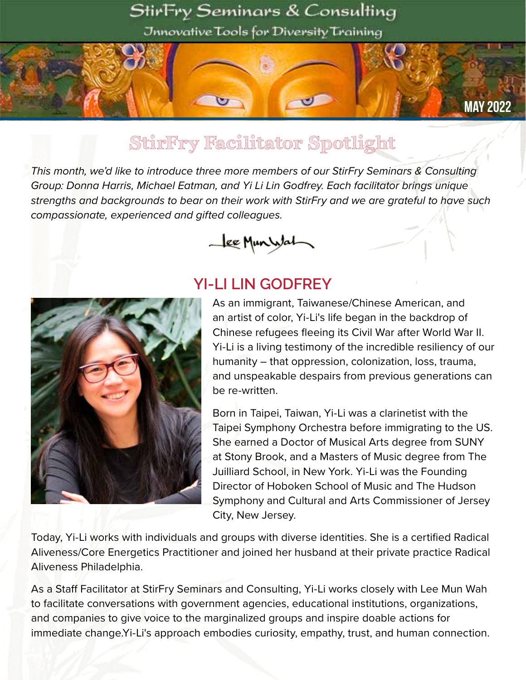#### StirFry Seminars & Consulting

Jnnovative Tools for Diversity Training

#### MAY 2022

## StirFry Facilitator Spotlight

A

*This month, we'd like to introduce three more members of our StirFry Seminars & Consulting Group: Donna Harris, Michael Eatman, and Yi Li Lin Godfrey. Each facilitator brings unique strengths and backgrounds to bear on their work with StirFry and we are grateful to have such compassionate, experienced and gifted colleagues.*





#### **YI-LI LIN GODFREY**

As an immigrant, Taiwanese/Chinese American, and an artist of color, Yi-Li's life began in the backdrop of Chinese refugees fleeing its Civil War after World War II. Yi-Li is a living testimony of the incredible resiliency of our humanity – that oppression, colonization, loss, trauma, and unspeakable despairs from previous generations can be re-written.

Born in Taipei, Taiwan, Yi-Li was a clarinetist with the Taipei Symphony Orchestra before immigrating to the US. She earned a Doctor of Musical Arts degree from SUNY at Stony Brook, and a Masters of Music degree from The Juilliard School, in New York. Yi-Li was the Founding Director of Hoboken School of Music and The Hudson Symphony and Cultural and Arts Commissioner of Jersey City, New Jersey.

Today, Yi-Li works with individuals and groups with diverse identities. She is a certified Radical Aliveness/Core Energetics Practitioner and joined her husband at their private practice Radical Aliveness Philadelphia.

As a Staff Facilitator at StirFry Seminars and Consulting, Yi-Li works closely with Lee Mun Wah to facilitate conversations with government agencies, educational institutions, organizations, and companies to give voice to the marginalized groups and inspire doable actions for immediate change.Yi-Li's approach embodies curiosity, empathy, trust, and human connection.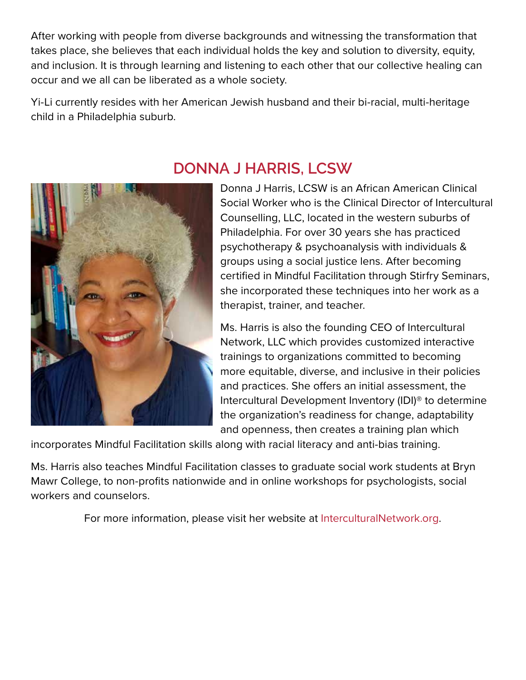After working with people from diverse backgrounds and witnessing the transformation that takes place, she believes that each individual holds the key and solution to diversity, equity, and inclusion. It is through learning and listening to each other that our collective healing can occur and we all can be liberated as a whole society.

Yi-Li currently resides with her American Jewish husband and their bi-racial, multi-heritage child in a Philadelphia suburb.



#### **DONNA J HARRIS, LCSW**

Donna J Harris, LCSW is an African American Clinical Social Worker who is the Clinical Director of Intercultural Counselling, LLC, located in the western suburbs of Philadelphia. For over 30 years she has practiced psychotherapy & psychoanalysis with individuals & groups using a social justice lens. After becoming certified in Mindful Facilitation through Stirfry Seminars, she incorporated these techniques into her work as a therapist, trainer, and teacher.

Ms. Harris is also the founding CEO of Intercultural Network, LLC which provides customized interactive trainings to organizations committed to becoming more equitable, diverse, and inclusive in their policies and practices. She offers an initial assessment, the Intercultural Development Inventory (IDI)® to determine the organization's readiness for change, adaptability and openness, then creates a training plan which

incorporates Mindful Facilitation skills along with racial literacy and anti-bias training.

Ms. Harris also teaches Mindful Facilitation classes to graduate social work students at Bryn Mawr College, to non-profits nationwide and in online workshops for psychologists, social workers and counselors.

For more information, please visit her website at InterculturalNetwork.org.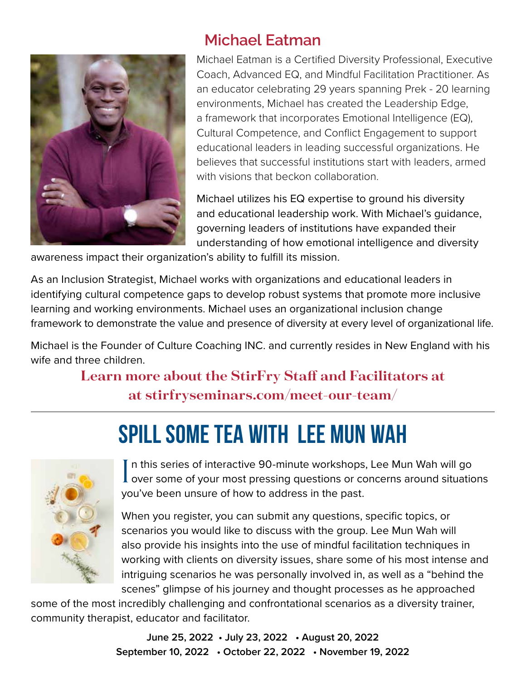

### **Michael Eatman**

Michael Eatman is a Certified Diversity Professional, Executive Coach, Advanced EQ, and Mindful Facilitation Practitioner. As an educator celebrating 29 years spanning Prek - 20 learning environments, Michael has created the Leadership Edge, a framework that incorporates Emotional Intelligence (EQ), Cultural Competence, and Conflict Engagement to support educational leaders in leading successful organizations. He believes that successful institutions start with leaders, armed with visions that beckon collaboration.

Michael utilizes his EQ expertise to ground his diversity and educational leadership work. With Michael's guidance, governing leaders of institutions have expanded their understanding of how emotional intelligence and diversity

awareness impact their organization's ability to fulfill its mission.

As an Inclusion Strategist, Michael works with organizations and educational leaders in identifying cultural competence gaps to develop robust systems that promote more inclusive learning and working environments. Michael uses an organizational inclusion change framework to demonstrate the value and presence of diversity at every level of organizational life.

Michael is the Founder of Culture Coaching INC. and currently resides in New England with his wife and three children.

#### **Learn more about the StirFry Staff and Facilitators at at stirfryseminars.com/meet-our-team/**

# spill some tea with Lee Mun Wah



In this series of interactive 90-minute workshops, Lee Mun Wah will go<br>over some of your most pressing questions or concerns around situations n this series of interactive 90-minute workshops, Lee Mun Wah will go you've been unsure of how to address in the past.

When you register, you can submit any questions, specific topics, or scenarios you would like to discuss with the group. Lee Mun Wah will also provide his insights into the use of mindful facilitation techniques in working with clients on diversity issues, share some of his most intense and intriguing scenarios he was personally involved in, as well as a "behind the scenes" glimpse of his journey and thought processes as he approached

some of the most incredibly challenging and confrontational scenarios as a diversity trainer, community therapist, educator and facilitator.

> **June 25, 2022 • July 23, 2022 • August 20, 2022 September 10, 2022 • October 22, 2022 • November 19, 2022**